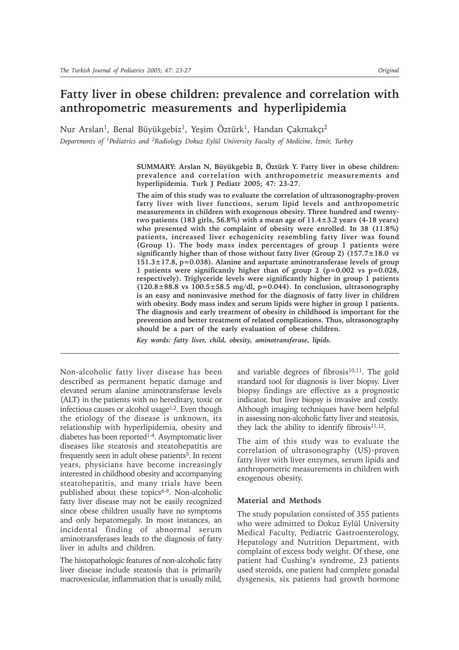# **Fatty liver in obese children: prevalence and correlation with anthropometric measurements and hyperlipidemia**

Nur Arslan<sup>1</sup>, Benal Büyükgebiz<sup>1</sup>, Yeşim Öztürk<sup>1</sup>, Handan Çakmakçı<sup>2</sup> *Departments of <sup>1</sup>Pediatrics and <sup>2</sup>Radiology Dokuz Eylül University Faculty of Medicine, İzmir, Turkey* 

> SUMMARY: Arslan N, Büyükgebiz B, Öztürk Y. Fatty liver in obese children: **prevalence and correlation with anthropometric measurements and hyperlipidemia. Turk J Pediatr 2005; 47: 23-27.**

> **The aim of this study was to evaluate the correlation of ultrasonography-proven fatty liver with liver functions, serum lipid levels and anthropometric measurements in children with exogenous obesity. Three hundred and twentytwo patients (183 girls, 56.8%) with a mean age of 11.4±3.2 years (4-18 years) who presented with the complaint of obesity were enrolled. In 38 (11.8%) patients, increased liver echogenicity resembling fatty liver was found (Group 1). The body mass index percentages of group 1 patients were significantly higher than of those without fatty liver (Group 2) (157.7±18.0 vs 151.3±17.8, p=0.038). Alanine and aspartate aminotransferase levels of group 1 patients were significantly higher than of group 2 (p=0.002 vs p=0.028, respectively). Triglyceride levels were significantly higher in group 1 patients (120.8±88.8 vs 100.5±58.5 mg/dl, p=0.044). In conclusion, ultrasonography is an easy and noninvasive method for the diagnosis of fatty liver in children with obesity. Body mass index and serum lipids were higher in group 1 patients. The diagnosis and early treatment of obesity in childhood is important for the prevention and better treatment of related complications. Thus, ultrasonography should be a part of the early evaluation of obese children.**

*Key words: fatty liver, child, obesity, aminotransferase, lipids.*

Non-alcoholic fatty liver disease has been described as permanent hepatic damage and elevated serum alanine aminotransferase levels (ALT) in the patients with no hereditary, toxic or infectious causes or alcohol usage $1,2$ . Even though the etiology of the disease is unknown, its relationship with hyperlipidemia, obesity and diabetes has been reported<sup>1-4</sup>. Asymptomatic liver diseases like steatosis and steatohepatitis are frequently seen in adult obese patients<sup> $\bar{5}$ </sup>. In recent years, physicians have become increasingly interested in childhood obesity and accompanying steatohepatitis, and many trials have been published about these topics<sup>6-9</sup>. Non-alcoholic fatty liver disease may not be easily recognized since obese children usually have no symptoms and only hepatomegaly. In most instances, an incidental finding of abnormal serum aminotransferases leads to the diagnosis of fatty liver in adults and children.

The histopathologic features of non-alcoholic fatty liver disease include steatosis that is primarily macrovesicular, inflammation that is usually mild,

and variable degrees of fibrosis $10,11$ . The gold standard tool for diagnosis is liver biopsy. Liver biopsy findings are effective as a prognostic indicator, but liver biopsy is invasive and costly. Although imaging techniques have been helpful in assessing non-alcoholic fatty liver and steatosis, they lack the ability to identify fibrosis $11,12$ .

The aim of this study was to evaluate the correlation of ultrasonography (US)-proven fatty liver with liver enzymes, serum lipids and anthropometric measurements in children with exogenous obesity.

## **Material and Methods**

The study population consisted of 355 patients who were admitted to Dokuz Eylül University Medical Faculty, Pediatric Gastroenterology, Hepatology and Nutrition Department, with complaint of excess body weight. Of these, one patient had Cushing's syndrome, 23 patients used steroids, one patient had complete gonadal dysgenesis, six patients had growth hormone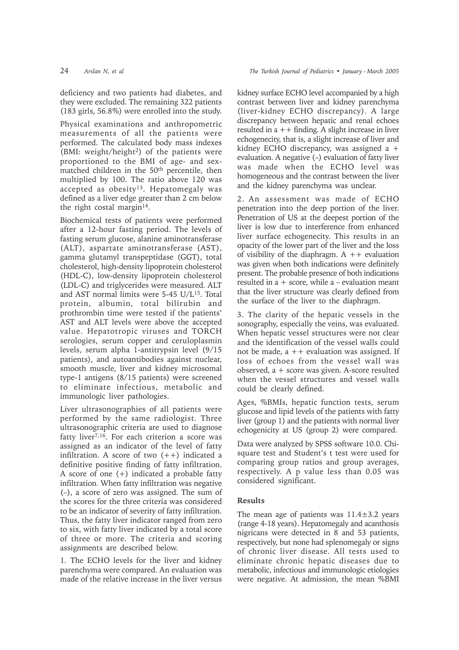deficiency and two patients had diabetes, and they were excluded. The remaining 322 patients (183 girls, 56.8%) were enrolled into the study.

Physical examinations and anthropometric measurements of all the patients were performed. The calculated body mass indexes (BMI: weight/height<sup>2</sup>) of the patients were proportioned to the BMI of age- and sexmatched children in the 50th percentile, then multiplied by 100. The ratio above 120 was accepted as obesity13. Hepatomegaly was defined as a liver edge greater than 2 cm below the right costal margin<sup>14</sup>.

Biochemical tests of patients were performed after a 12-hour fasting period. The levels of fasting serum glucose, alanine aminotransferase (ALT), aspartate aminotransferase (AST), gamma glutamyl transpeptidase (GGT), total cholesterol, high-density lipoprotein cholesterol (HDL-C), low-density lipoprotein cholesterol (LDL-C) and triglycerides were measured. ALT and AST normal limits were 5-45 U/L15. Total protein, albumin, total bilirubin and prothrombin time were tested if the patients' AST and ALT levels were above the accepted value. Hepatotropic viruses and TORCH serologies, serum copper and ceruloplasmin levels, serum alpha 1-antitrypsin level (9/15 patients), and autoantibodies against nuclear, smooth muscle, liver and kidney microsomal type-1 antigens (8/15 patients) were screened to eliminate infectious, metabolic and immunologic liver pathologies.

Liver ultrasonographies of all patients were performed by the same radiologist. Three ultrasonographic criteria are used to diagnose fatty liver<sup>7,16</sup>. For each criterion a score was assigned as an indicator of the level of fatty infiltration. A score of two  $(++)$  indicated a definitive positive finding of fatty infiltration. A score of one (+) indicated a probable fatty infiltration. When fatty infiltration was negative  $(-)$ , a score of zero was assigned. The sum of the scores for the three criteria was considered to be an indicator of severity of fatty infiltration. Thus, the fatty liver indicator ranged from zero to six, with fatty liver indicated by a total score of three or more. The criteria and scoring assignments are described below.

1. The ECHO levels for the liver and kidney parenchyma were compared. An evaluation was made of the relative increase in the liver versus

kidney surface ECHO level accompanied by a high contrast between liver and kidney parenchyma (liver-kidney ECHO discrepancy). A large discrepancy between hepatic and renal echoes resulted in  $a + +$  finding. A slight increase in liver echogenecity, that is, a slight increase of liver and kidney ECHO discrepancy, was assigned a + evaluation. A negative  $(-)$  evaluation of fatty liver was made when the ECHO level was homogeneous and the contrast between the liver and the kidney parenchyma was unclear.

2. An assessment was made of ECHO penetration into the deep portion of the liver. Penetration of US at the deepest portion of the liver is low due to interference from enhanced liver surface echogenecity. This results in an opacity of the lower part of the liver and the loss of visibility of the diaphragm.  $A + +$  evaluation was given when both indications were definitely present. The probable presence of both indications resulted in  $a + score$ , while  $a - evaluation$  meant that the liver structure was clearly defined from the surface of the liver to the diaphragm.

3. The clarity of the hepatic vessels in the sonography, especially the veins, was evaluated. When hepatic vessel structures were not clear and the identification of the vessel walls could not be made,  $a ++$  evaluation was assigned. If loss of echoes from the vessel wall was observed, a + score was given. A-score resulted when the vessel structures and vessel walls could be clearly defined.

Ages, %BMIs, hepatic function tests, serum glucose and lipid levels of the patients with fatty liver (group 1) and the patients with normal liver echogenicity at US (group 2) were compared.

Data were analyzed by SPSS software 10.0. Chisquare test and Student's t test were used for comparing group ratios and group averages, respectively. A p value less than 0.05 was considered significant.

# **Results**

The mean age of patients was  $11.4 \pm 3.2$  years (range 4-18 years). Hepatomegaly and acanthosis nigricans were detected in 8 and 53 patients, respectively, but none had splenomegaly or signs of chronic liver disease. All tests used to eliminate chronic hepatic diseases due to metabolic, infectious and immunologic etiologies were negative. At admission, the mean %BMI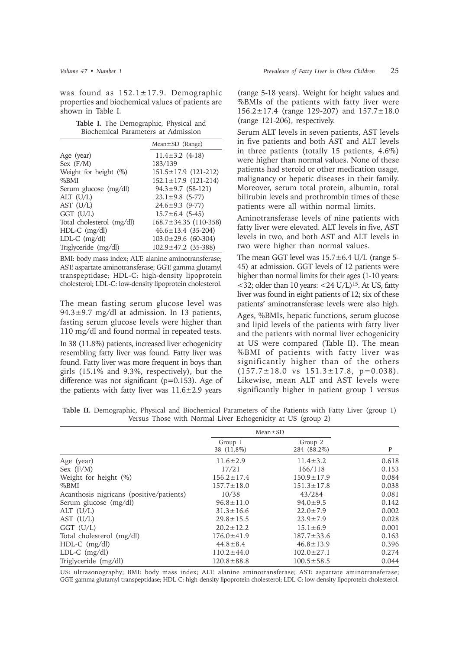was found as  $152.1 \pm 17.9$ . Demographic properties and biochemical values of patients are shown in Table I.

|  | Table I. The Demographic, Physical and |  |  |
|--|----------------------------------------|--|--|
|  | Biochemical Parameters at Admission    |  |  |

|                           | $Mean \pm SD$ (Range)       |
|---------------------------|-----------------------------|
| Age (year)                | $11.4 \pm 3.2$ (4-18)       |
| Sex $(F/M)$               | 183/139                     |
| Weight for height (%)     | $151.5 \pm 17.9$ (121-212)  |
| $%$ BMI                   | $152.1 \pm 17.9$ (121-214)  |
| Serum glucose (mg/dl)     | $94.3 \pm 9.7$ (58-121)     |
| $ALT$ (U/L)               | $23.1 \pm 9.8$ (5-77)       |
| $AST$ $(U/L)$             | $24.6 \pm 9.3$ (9-77)       |
| $GGT$ (U/L)               | $15.7 \pm 6.4$ (5-45)       |
| Total cholesterol (mg/dl) | $168.7 \pm 34.35$ (110-358) |
| HDL-C (mg/dl)             | $46.6 \pm 13.4$ (35-204)    |
| $LDL-C$ (mg/dl)           | $103.0 \pm 29.6$ (60-304)   |
| Triglyceride (mg/dl)      | $102.9 \pm 47.2$ (35-388)   |

BMI: body mass index; ALT: alanine aminotransferase; AST: aspartate aminotransferase; GGT: gamma glutamyl transpeptidase; HDL-C: high-density lipoprotein cholesterol; LDL-C: low-density lipoprotein cholesterol.

The mean fasting serum glucose level was  $94.3 \pm 9.7$  mg/dl at admission. In 13 patients, fasting serum glucose levels were higher than 110 mg/dl and found normal in repeated tests.

In 38 (11.8%) patients, increased liver echogenicity resembling fatty liver was found. Fatty liver was found. Fatty liver was more frequent in boys than girls (15.1% and 9.3%, respectively), but the difference was not significant  $(p=0.153)$ . Age of the patients with fatty liver was  $11.6 \pm 2.9$  years

(range 5-18 years). Weight for height values and %BMIs of the patients with fatty liver were 156.2±17.4 (range 129-207) and 157.7±18.0 (range 121-206), respectively.

Serum ALT levels in seven patients, AST levels in five patients and both AST and ALT levels in three patients (totally 15 patients, 4.6%) were higher than normal values. None of these patients had steroid or other medication usage, malignancy or hepatic diseases in their family. Moreover, serum total protein, albumin, total bilirubin levels and prothrombin times of these patients were all within normal limits.

Aminotransferase levels of nine patients with fatty liver were elevated. ALT levels in five, AST levels in two, and both AST and ALT levels in two were higher than normal values.

The mean GGT level was  $15.7 \pm 6.4$  U/L (range 5-45) at admission. GGT levels of 12 patients were higher than normal limits for their ages (1-10 years:  $\langle$ 32; older than 10 years:  $\langle$ 24 U/L)<sup>15</sup>. At US, fatty liver was found in eight patients of 12; six of these patients' aminotransferase levels were also high.

Ages, %BMIs, hepatic functions, serum glucose and lipid levels of the patients with fatty liver and the patients with normal liver echogenicity at US were compared (Table II). The mean %BMI of patients with fatty liver was significantly higher than of the others  $(157.7 \pm 18.0 \text{ vs } 151.3 \pm 17.8, \text{ p}=0.038).$ Likewise, mean ALT and AST levels were significantly higher in patient group 1 versus

**Table II.** Demographic, Physical and Biochemical Parameters of the Patients with Fatty Liver (group 1) Versus Those with Normal Liver Echogenicity at US (group 2)

|                                          | $Mean \pm SD$         |                        |       |
|------------------------------------------|-----------------------|------------------------|-------|
|                                          | Group 1<br>38 (11.8%) | Group 2<br>284 (88.2%) | P     |
| Age (year)                               | $11.6 \pm 2.9$        | $11.4 \pm 3.2$         | 0.618 |
| Sex $(F/M)$                              | 17/21                 | 166/118                | 0.153 |
| Weight for height (%)                    | $156.2 \pm 17.4$      | $150.9 \pm 17.9$       | 0.084 |
| %BMI                                     | $157.7 \pm 18.0$      | $151.3 \pm 17.8$       | 0.038 |
| Acanthosis nigricans (positive/patients) | 10/38                 | 43/284                 | 0.081 |
| Serum glucose (mg/dl)                    | $96.8 \pm 11.0$       | $94.0 \pm 9.5$         | 0.142 |
| ALT $(U/L)$                              | $31.3 \pm 16.6$       | $22.0 \pm 7.9$         | 0.002 |
| AST $(U/L)$                              | $29.8 \pm 15.5$       | $23.9 \pm 7.9$         | 0.028 |
| $GGT$ $(U/L)$                            | $20.2 \pm 12.2$       | $15.1 \pm 6.9$         | 0.001 |
| Total cholesterol (mg/dl)                | $176.0 \pm 41.9$      | $187.7 \pm 33.6$       | 0.163 |
| $HDL-C$ (mg/dl)                          | $44.8 \pm 8.4$        | $46.8 \pm 13.9$        | 0.396 |
| $LDL-C$ (mg/dl)                          | $110.2 \pm 44.0$      | $102.0 \pm 27.1$       | 0.274 |
| Triglyceride (mg/dl)                     | $120.8 \pm 88.8$      | $100.5 \pm 58.5$       | 0.044 |

US: ultrasonography; BMI: body mass index; ALT: alanine aminotransferase; AST: aspartate aminotransferase; GGT: gamma glutamyl transpeptidase; HDL-C: high-density lipoprotein cholesterol; LDL-C: low-density lipoprotein cholesterol.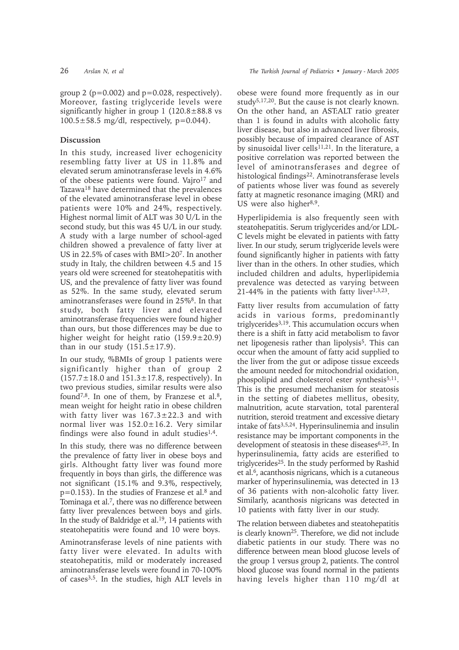group 2 ( $p=0.002$ ) and  $p=0.028$ , respectively). Moreover, fasting triglyceride levels were significantly higher in group  $1$  (120.8 $\pm$ 88.8 vs  $100.5 \pm 58.5$  mg/dl, respectively, p=0.044).

# **Discussion**

In this study, increased liver echogenicity resembling fatty liver at US in 11.8% and elevated serum aminotransferase levels in 4.6% of the obese patients were found. Vajro<sup>17</sup> and Tazawa18 have determined that the prevalences of the elevated aminotransferase level in obese patients were 10% and 24%, respectively. Highest normal limit of ALT was 30 U/L in the second study, but this was 45 U/L in our study. A study with a large number of school-aged children showed a prevalence of fatty liver at US in 22.5% of cases with BMI>207. In another study in Italy, the children between 4.5 and 15 years old were screened for steatohepatitis with US, and the prevalence of fatty liver was found as 52%. In the same study, elevated serum aminotransferases were found in 25%8. In that study, both fatty liver and elevated aminotransferase frequencies were found higher than ours, but those differences may be due to higher weight for height ratio  $(159.9 \pm 20.9)$ than in our study  $(151.5 \pm 17.9)$ .

In our study, %BMIs of group 1 patients were significantly higher than of group 2  $(157.7 \pm 18.0 \text{ and } 151.3 \pm 17.8 \text{, respectively}).$  In two previous studies, similar results were also found<sup>7,8</sup>. In one of them, by Franzese et al.<sup>8</sup>, mean weight for height ratio in obese children with fatty liver was  $167.3 \pm 22.3$  and with normal liver was 152.0±16.2. Very similar findings were also found in adult studies $1.4$ .

In this study, there was no difference between the prevalence of fatty liver in obese boys and girls. Althought fatty liver was found more frequently in boys than girls, the difference was not significant (15.1% and 9.3%, respectively,  $p=0.153$ ). In the studies of Franzese et al.<sup>8</sup> and Tominaga et al.7, there was no difference between fatty liver prevalences between boys and girls. In the study of Baldridge et al.19, 14 patients with steatohepatitis were found and 10 were boys.

Aminotransferase levels of nine patients with fatty liver were elevated. In adults with steatohepatitis, mild or moderately increased aminotransferase levels were found in 70-100% of cases3,5. In the studies, high ALT levels in obese were found more frequently as in our study<sup>5,17,20</sup>. But the cause is not clearly known. On the other hand, an AST:ALT ratio greater than 1 is found in adults with alcoholic fatty liver disease, but also in advanced liver fibrosis, possibly because of impaired clearance of AST by sinusoidal liver cells<sup>11,21</sup>. In the literature, a positive correlation was reported between the level of aminotransferases and degree of histological findings<sup>22</sup>. Aminotransferase levels of patients whose liver was found as severely fatty at magnetic resonance imaging (MRI) and US were also higher $8,9$ .

Hyperlipidemia is also frequently seen with steatohepatitis. Serum triglycerides and/or LDL-C levels might be elevated in patients with fatty liver. In our study, serum triglyceride levels were found significantly higher in patients with fatty liver than in the others. In other studies, which included children and adults, hyperlipidemia prevalence was detected as varying between  $21-44\%$  in the patients with fatty liver $1,3,23$ .

Fatty liver results from accumulation of fatty acids in various forms, predominantly triglycerides3,19. This accumulation occurs when there is a shift in fatty acid metabolism to favor net lipogenesis rather than lipolysis<sup>5</sup>. This can occur when the amount of fatty acid supplied to the liver from the gut or adipose tissue exceeds the amount needed for mitochondrial oxidation, phospolipid and cholesterol ester synthesis<sup>5,11</sup>. This is the presumed mechanism for steatosis in the setting of diabetes mellitus, obesity, malnutrition, acute starvation, total parenteral nutrition, steroid treatment and excessive dietary intake of fats<sup>3,5,24</sup>. Hyperinsulinemia and insulin resistance may be important components in the development of steatosis in these diseases<sup>6,25</sup>. In hyperinsulinemia, fatty acids are esterified to triglycerides25. In the study performed by Rashid et al.6, acanthosis nigricans, which is a cutaneous marker of hyperinsulinemia, was detected in 13 of 36 patients with non-alcoholic fatty liver. Similarly, acanthosis nigricans was detected in 10 patients with fatty liver in our study.

The relation between diabetes and steatohepatitis is clearly known25. Therefore, we did not include diabetic patients in our study. There was no difference between mean blood glucose levels of the group 1 versus group 2, patients. The control blood glucose was found normal in the patients having levels higher than 110 mg/dl at